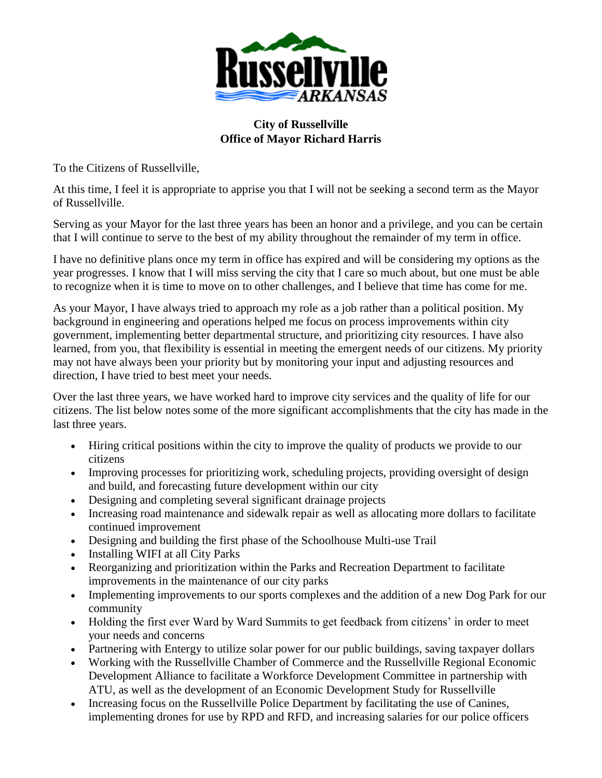

## **City of Russellville Office of Mayor Richard Harris**

To the Citizens of Russellville,

At this time, I feel it is appropriate to apprise you that I will not be seeking a second term as the Mayor of Russellville.

Serving as your Mayor for the last three years has been an honor and a privilege, and you can be certain that I will continue to serve to the best of my ability throughout the remainder of my term in office.

I have no definitive plans once my term in office has expired and will be considering my options as the year progresses. I know that I will miss serving the city that I care so much about, but one must be able to recognize when it is time to move on to other challenges, and I believe that time has come for me.

As your Mayor, I have always tried to approach my role as a job rather than a political position. My background in engineering and operations helped me focus on process improvements within city government, implementing better departmental structure, and prioritizing city resources. I have also learned, from you, that flexibility is essential in meeting the emergent needs of our citizens. My priority may not have always been your priority but by monitoring your input and adjusting resources and direction, I have tried to best meet your needs.

Over the last three years, we have worked hard to improve city services and the quality of life for our citizens. The list below notes some of the more significant accomplishments that the city has made in the last three years.

- Hiring critical positions within the city to improve the quality of products we provide to our citizens
- Improving processes for prioritizing work, scheduling projects, providing oversight of design and build, and forecasting future development within our city
- Designing and completing several significant drainage projects
- Increasing road maintenance and sidewalk repair as well as allocating more dollars to facilitate continued improvement
- Designing and building the first phase of the Schoolhouse Multi-use Trail
- Installing WIFI at all City Parks
- Reorganizing and prioritization within the Parks and Recreation Department to facilitate improvements in the maintenance of our city parks
- Implementing improvements to our sports complexes and the addition of a new Dog Park for our community
- Holding the first ever Ward by Ward Summits to get feedback from citizens' in order to meet your needs and concerns
- Partnering with Entergy to utilize solar power for our public buildings, saving taxpayer dollars
- Working with the Russellville Chamber of Commerce and the Russellville Regional Economic Development Alliance to facilitate a Workforce Development Committee in partnership with ATU, as well as the development of an Economic Development Study for Russellville
- Increasing focus on the Russellville Police Department by facilitating the use of Canines, implementing drones for use by RPD and RFD, and increasing salaries for our police officers